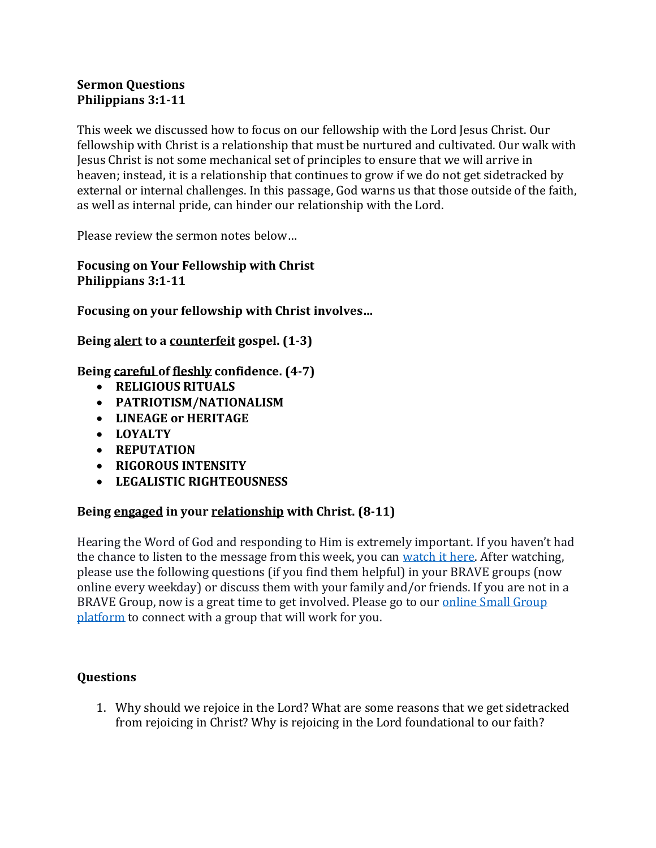## **Sermon Questions Philippians 3:1-11**

This week we discussed how to focus on our fellowship with the Lord Jesus Christ. Our fellowship with Christ is a relationship that must be nurtured and cultivated. Our walk with Jesus Christ is not some mechanical set of principles to ensure that we will arrive in heaven; instead, it is a relationship that continues to grow if we do not get sidetracked by external or internal challenges. In this passage, God warns us that those outside of the faith, as well as internal pride, can hinder our relationship with the Lord.

Please review the sermon notes below…

**Focusing on Your Fellowship with Christ Philippians 3:1-11**

**Focusing on your fellowship with Christ involves…**

**Being alert to a counterfeit gospel. (1-3)**

**Being careful of fleshly confidence. (4-7)**

- **RELIGIOUS RITUALS**
- **PATRIOTISM/NATIONALISM**
- **LINEAGE or HERITAGE**
- **LOYALTY**
- **REPUTATION**
- **RIGOROUS INTENSITY**
- **LEGALISTIC RIGHTEOUSNESS**

## **Being engaged in your relationship with Christ. (8-11)**

Hearing the Word of God and responding to Him is extremely important. If you haven't had the chance to listen to the message from this week, you can [watch it here.](https://bravechurch.co/sermons/) After watching, please use the following questions (if you find them helpful) in your BRAVE groups (now online every weekday) or discuss them with your family and/or friends. If you are not in a BRAVE Group, now is a great time to get involved. Please go to our online Small Group [platform](https://my.bravechurch.co/groupfinder) to connect with a group that will work for you.

## **Questions**

1. Why should we rejoice in the Lord? What are some reasons that we get sidetracked from rejoicing in Christ? Why is rejoicing in the Lord foundational to our faith?